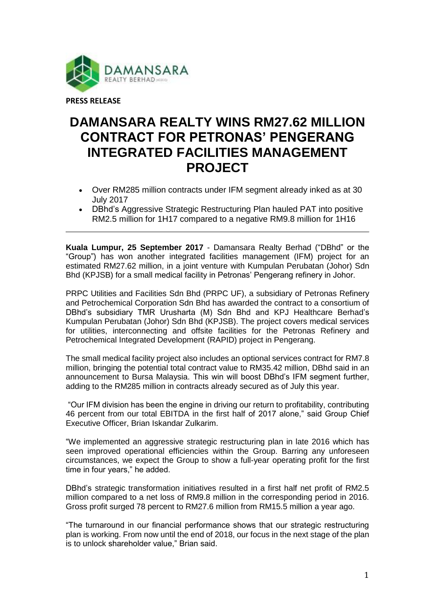

## **DAMANSARA REALTY WINS RM27.62 MILLION CONTRACT FOR PETRONAS' PENGERANG INTEGRATED FACILITIES MANAGEMENT PROJECT**

- Over RM285 million contracts under IFM segment already inked as at 30 July 2017
- DBhd's Aggressive Strategic Restructuring Plan hauled PAT into positive RM2.5 million for 1H17 compared to a negative RM9.8 million for 1H16

**Kuala Lumpur, 25 September 2017** - Damansara Realty Berhad ("DBhd" or the "Group") has won another integrated facilities management (IFM) project for an estimated RM27.62 million, in a joint venture with Kumpulan Perubatan (Johor) Sdn Bhd (KPJSB) for a small medical facility in Petronas' Pengerang refinery in Johor.

PRPC Utilities and Facilities Sdn Bhd (PRPC UF), a subsidiary of Petronas Refinery and Petrochemical Corporation Sdn Bhd has awarded the contract to a consortium of DBhd's subsidiary TMR Urusharta (M) Sdn Bhd and KPJ Healthcare Berhad's Kumpulan Perubatan (Johor) Sdn Bhd (KPJSB). The project covers medical services for utilities, interconnecting and offsite facilities for the Petronas Refinery and Petrochemical Integrated Development (RAPID) project in Pengerang.

The small medical facility project also includes an optional services contract for RM7.8 million, bringing the potential total contract value to RM35.42 million, DBhd said in an announcement to Bursa Malaysia. This win will boost DBhd's IFM segment further, adding to the RM285 million in contracts already secured as of July this year.

"Our IFM division has been the engine in driving our return to profitability, contributing 46 percent from our total EBITDA in the first half of 2017 alone," said Group Chief Executive Officer, Brian Iskandar Zulkarim.

"We implemented an aggressive strategic restructuring plan in late 2016 which has seen improved operational efficiencies within the Group. Barring any unforeseen circumstances, we expect the Group to show a full-year operating profit for the first time in four years," he added.

DBhd's strategic transformation initiatives resulted in a first half net profit of RM2.5 million compared to a net loss of RM9.8 million in the corresponding period in 2016. Gross profit surged 78 percent to RM27.6 million from RM15.5 million a year ago.

"The turnaround in our financial performance shows that our strategic restructuring plan is working. From now until the end of 2018, our focus in the next stage of the plan is to unlock shareholder value," Brian said.